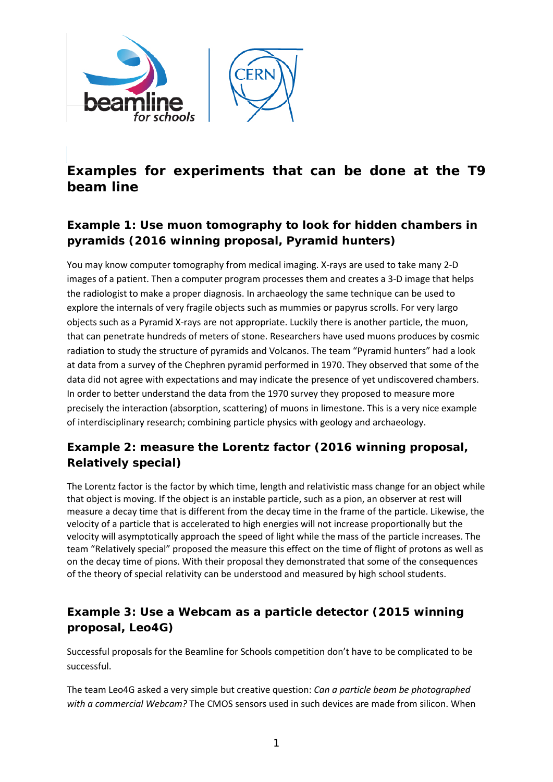

# **Examples for experiments that can be done at the T9 beam line**

## **Example 1: Use muon tomography to look for hidden chambers in pyramids (2016 winning proposal, Pyramid hunters)**

You may know computer tomography from medical imaging. X-rays are used to take many 2-D images of a patient. Then a computer program processes them and creates a 3-D image that helps the radiologist to make a proper diagnosis. In archaeology the same technique can be used to explore the internals of very fragile objects such as mummies or papyrus scrolls. For very largo objects such as a Pyramid X-rays are not appropriate. Luckily there is another particle, the muon, that can penetrate hundreds of meters of stone. Researchers have used muons produces by cosmic radiation to study the structure of pyramids and Volcanos. The team "Pyramid hunters" had a look at data from a survey of the Chephren pyramid performed in 1970. They observed that some of the data did not agree with expectations and may indicate the presence of yet undiscovered chambers. In order to better understand the data from the 1970 survey they proposed to measure more precisely the interaction (absorption, scattering) of muons in limestone. This is a very nice example of interdisciplinary research; combining particle physics with geology and archaeology.

### **Example 2: measure the Lorentz factor (2016 winning proposal, Relatively special)**

The Lorentz factor is the factor by which time, length and relativistic mass change for an object while that object is moving. If the object is an instable particle, such as a pion, an observer at rest will measure a decay time that is different from the decay time in the frame of the particle. Likewise, the velocity of a particle that is accelerated to high energies will not increase proportionally but the velocity will asymptotically approach the speed of light while the mass of the particle increases. The team "Relatively special" proposed the measure this effect on the time of flight of protons as well as on the decay time of pions. With their proposal they demonstrated that some of the consequences of the theory of special relativity can be understood and measured by high school students.

### **Example 3: Use a Webcam as a particle detector (2015 winning proposal, Leo4G)**

Successful proposals for the Beamline for Schools competition don't have to be complicated to be successful.

The team Leo4G asked a very simple but creative question: *Can a particle beam be photographed with a commercial Webcam?* The CMOS sensors used in such devices are made from silicon. When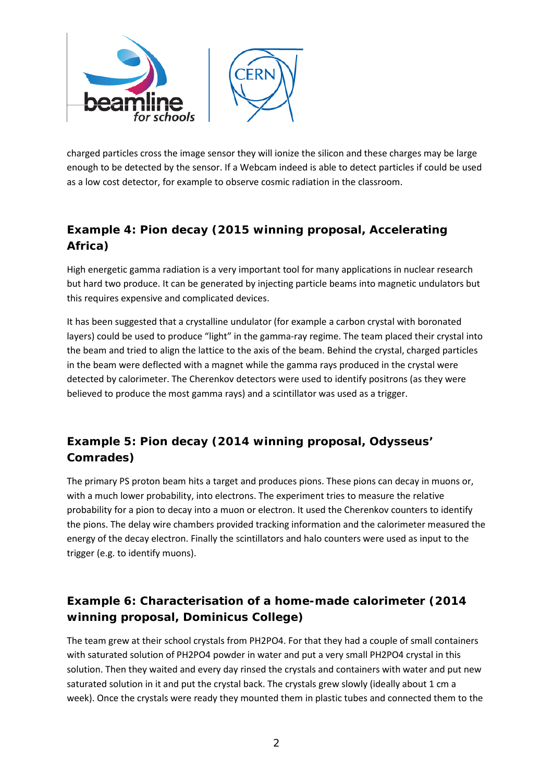

charged particles cross the image sensor they will ionize the silicon and these charges may be large enough to be detected by the sensor. If a Webcam indeed is able to detect particles if could be used as a low cost detector, for example to observe cosmic radiation in the classroom.

## **Example 4: Pion decay (2015 winning proposal, Accelerating Africa)**

High energetic gamma radiation is a very important tool for many applications in nuclear research but hard two produce. It can be generated by injecting particle beams into magnetic undulators but this requires expensive and complicated devices.

It has been suggested that a crystalline undulator (for example a carbon crystal with boronated layers) could be used to produce "light" in the gamma-ray regime. The team placed their crystal into the beam and tried to align the lattice to the axis of the beam. Behind the crystal, charged particles in the beam were deflected with a magnet while the gamma rays produced in the crystal were detected by calorimeter. The Cherenkov detectors were used to identify positrons (as they were believed to produce the most gamma rays) and a scintillator was used as a trigger.

## **Example 5: Pion decay (2014 winning proposal, Odysseus' Comrades)**

The primary PS proton beam hits a target and produces pions. These pions can decay in muons or, with a much lower probability, into electrons. The experiment tries to measure the relative probability for a pion to decay into a muon or electron. It used the Cherenkov counters to identify the pions. The delay wire chambers provided tracking information and the calorimeter measured the energy of the decay electron. Finally the scintillators and halo counters were used as input to the trigger (e.g. to identify muons).

## **Example 6: Characterisation of a home-made calorimeter (2014 winning proposal, Dominicus College)**

The team grew at their school crystals from PH2PO4. For that they had a couple of small containers with saturated solution of PH2PO4 powder in water and put a very small PH2PO4 crystal in this solution. Then they waited and every day rinsed the crystals and containers with water and put new saturated solution in it and put the crystal back. The crystals grew slowly (ideally about 1 cm a week). Once the crystals were ready they mounted them in plastic tubes and connected them to the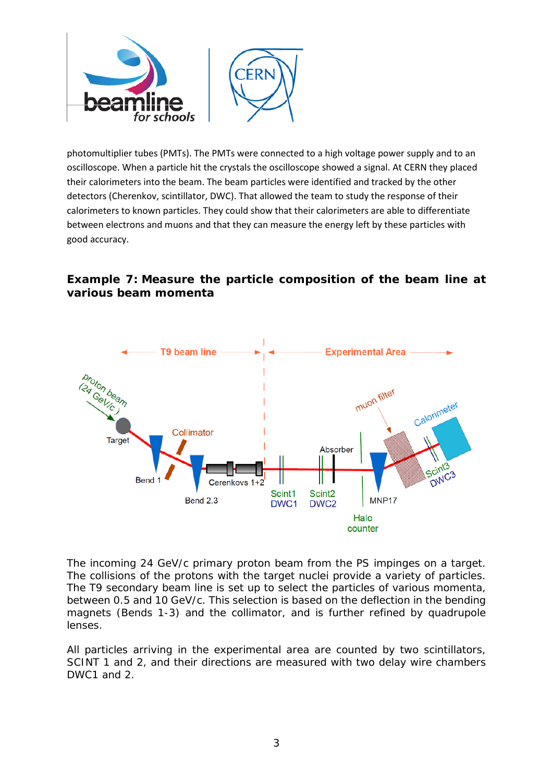

photomultiplier tubes (PMTs). The PMTs were connected to a high voltage power supply and to an oscilloscope. When a particle hit the crystals the oscilloscope showed a signal. At CERN they placed their calorimeters into the beam. The beam particles were identified and tracked by the other detectors (Cherenkov, scintillator, DWC). That allowed the team to study the response of their calorimeters to known particles. They could show that their calorimeters are able to differentiate between electrons and muons and that they can measure the energy left by these particles with good accuracy.

#### **Example 7: Measure the particle composition of the beam line at various beam momenta**



The incoming 24 GeV/c primary proton beam from the PS impinges on a target. The collisions of the protons with the target nuclei provide a variety of particles. The T9 secondary beam line is set up to select the particles of various momenta, between 0.5 and 10 GeV/c. This selection is based on the deflection in the bending magnets (Bends 1-3) and the collimator, and is further refined by quadrupole lenses.

All particles arriving in the experimental area are counted by two scintillators, SCINT 1 and 2, and their directions are measured with two delay wire chambers DWC<sub>1</sub> and 2.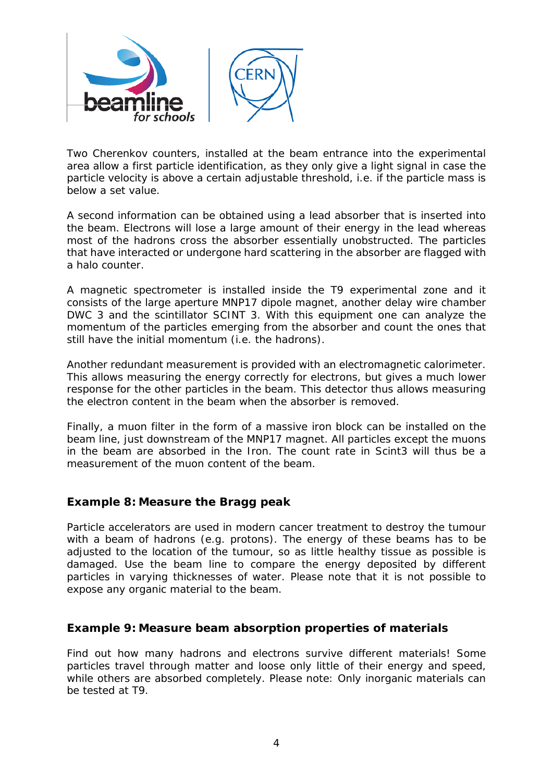

Two Cherenkov counters, installed at the beam entrance into the experimental area allow a first particle identification, as they only give a light signal in case the particle velocity is above a certain adjustable threshold, i.e. if the particle mass is below a set value.

A second information can be obtained using a lead absorber that is inserted into the beam. Electrons will lose a large amount of their energy in the lead whereas most of the hadrons cross the absorber essentially unobstructed. The particles that have interacted or undergone hard scattering in the absorber are flagged with a halo counter.

A magnetic spectrometer is installed inside the T9 experimental zone and it consists of the large aperture MNP17 dipole magnet, another delay wire chamber DWC 3 and the scintillator SCINT 3. With this equipment one can analyze the momentum of the particles emerging from the absorber and count the ones that still have the initial momentum (i.e. the hadrons).

Another redundant measurement is provided with an electromagnetic calorimeter. This allows measuring the energy correctly for electrons, but gives a much lower response for the other particles in the beam. This detector thus allows measuring the electron content in the beam when the absorber is removed.

Finally, a muon filter in the form of a massive iron block can be installed on the beam line, just downstream of the MNP17 magnet. All particles except the muons in the beam are absorbed in the Iron. The count rate in Scint3 will thus be a measurement of the muon content of the beam.

#### **Example 8: Measure the Bragg peak**

Particle accelerators are used in modern cancer treatment to destroy the tumour with a beam of hadrons (e.g. protons). The energy of these beams has to be adjusted to the location of the tumour, so as little healthy tissue as possible is damaged. Use the beam line to compare the energy deposited by different particles in varying thicknesses of water. Please note that it is not possible to expose any organic material to the beam.

#### **Example 9: Measure beam absorption properties of materials**

Find out how many hadrons and electrons survive different materials! Some particles travel through matter and loose only little of their energy and speed, while others are absorbed completely. Please note: Only inorganic materials can be tested at T9.